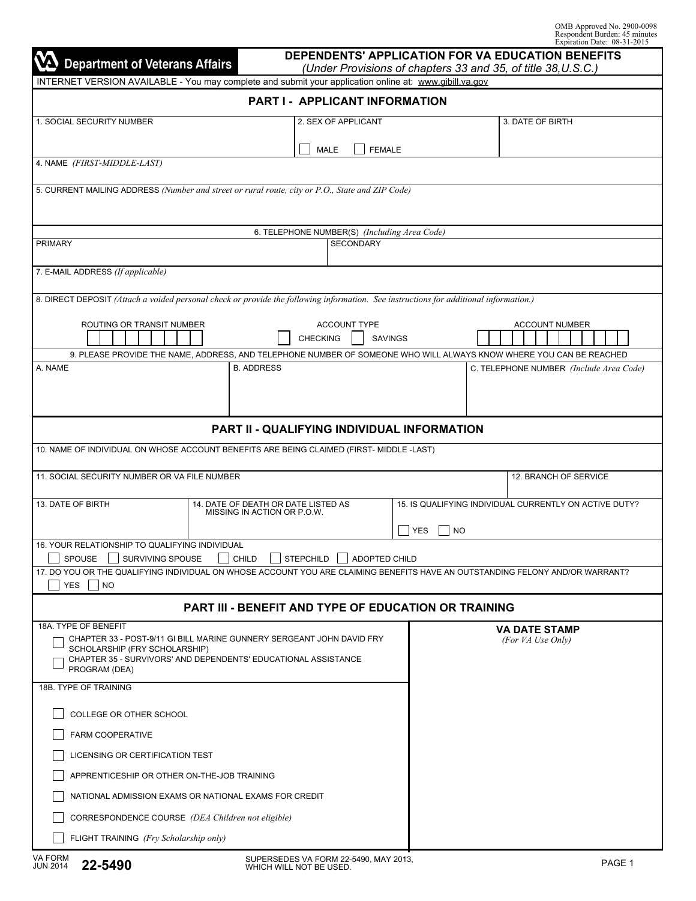| DEPENDENTS' APPLICATION FOR VA EDUCATION BENEFITS<br><b>Department of Veterans Affairs</b><br>(Under Provisions of chapters 33 and 35, of title 38, U.S.C.)                            |  |                                                                    |                 |                     |                |                                                             |           |                                         |                       |                       |  |  |
|----------------------------------------------------------------------------------------------------------------------------------------------------------------------------------------|--|--------------------------------------------------------------------|-----------------|---------------------|----------------|-------------------------------------------------------------|-----------|-----------------------------------------|-----------------------|-----------------------|--|--|
| INTERNET VERSION AVAILABLE - You may complete and submit your application online at: www.gibill.va.gov                                                                                 |  |                                                                    |                 |                     |                |                                                             |           |                                         |                       |                       |  |  |
| PART I - APPLICANT INFORMATION                                                                                                                                                         |  |                                                                    |                 |                     |                |                                                             |           |                                         |                       |                       |  |  |
| 1. SOCIAL SECURITY NUMBER                                                                                                                                                              |  | 2. SEX OF APPLICANT                                                |                 |                     |                | 3. DATE OF BIRTH                                            |           |                                         |                       |                       |  |  |
|                                                                                                                                                                                        |  |                                                                    |                 | <b>MALE</b>         | <b>FEMALE</b>  |                                                             |           |                                         |                       |                       |  |  |
| 4. NAME (FIRST-MIDDLE-LAST)                                                                                                                                                            |  |                                                                    |                 |                     |                |                                                             |           |                                         |                       |                       |  |  |
| 5. CURRENT MAILING ADDRESS (Number and street or rural route, city or P.O., State and ZIP Code)                                                                                        |  |                                                                    |                 |                     |                |                                                             |           |                                         |                       |                       |  |  |
|                                                                                                                                                                                        |  |                                                                    |                 |                     |                |                                                             |           |                                         |                       |                       |  |  |
|                                                                                                                                                                                        |  |                                                                    |                 |                     |                | 6. TELEPHONE NUMBER(S) (Including Area Code)                |           |                                         |                       |                       |  |  |
| <b>PRIMARY</b>                                                                                                                                                                         |  |                                                                    |                 | <b>SECONDARY</b>    |                |                                                             |           |                                         |                       |                       |  |  |
| 7. E-MAIL ADDRESS (If applicable)                                                                                                                                                      |  |                                                                    |                 |                     |                |                                                             |           |                                         |                       |                       |  |  |
| 8. DIRECT DEPOSIT (Attach a voided personal check or provide the following information. See instructions for additional information.)                                                  |  |                                                                    |                 |                     |                |                                                             |           |                                         |                       |                       |  |  |
|                                                                                                                                                                                        |  |                                                                    |                 |                     |                |                                                             |           |                                         |                       |                       |  |  |
| <b>ROUTING OR TRANSIT NUMBER</b>                                                                                                                                                       |  |                                                                    | <b>CHECKING</b> | <b>ACCOUNT TYPE</b> | <b>SAVINGS</b> |                                                             |           |                                         | <b>ACCOUNT NUMBER</b> |                       |  |  |
| 9. PLEASE PROVIDE THE NAME, ADDRESS, AND TELEPHONE NUMBER OF SOMEONE WHO WILL ALWAYS KNOW WHERE YOU CAN BE REACHED                                                                     |  |                                                                    |                 |                     |                |                                                             |           |                                         |                       |                       |  |  |
| A. NAME                                                                                                                                                                                |  | <b>B. ADDRESS</b>                                                  |                 |                     |                |                                                             |           | C. TELEPHONE NUMBER (Include Area Code) |                       |                       |  |  |
|                                                                                                                                                                                        |  |                                                                    |                 |                     |                |                                                             |           |                                         |                       |                       |  |  |
|                                                                                                                                                                                        |  |                                                                    |                 |                     |                |                                                             |           |                                         |                       |                       |  |  |
|                                                                                                                                                                                        |  |                                                                    |                 |                     |                | <b>PART II - QUALIFYING INDIVIDUAL INFORMATION</b>          |           |                                         |                       |                       |  |  |
| 10. NAME OF INDIVIDUAL ON WHOSE ACCOUNT BENEFITS ARE BEING CLAIMED (FIRST- MIDDLE -LAST)                                                                                               |  |                                                                    |                 |                     |                |                                                             |           |                                         |                       |                       |  |  |
| 11. SOCIAL SECURITY NUMBER OR VA FILE NUMBER                                                                                                                                           |  |                                                                    |                 |                     |                |                                                             |           |                                         |                       | 12. BRANCH OF SERVICE |  |  |
|                                                                                                                                                                                        |  |                                                                    |                 |                     |                |                                                             |           |                                         |                       |                       |  |  |
| 13. DATE OF BIRTH                                                                                                                                                                      |  | 14. DATE OF DEATH OR DATE LISTED AS<br>MISSING IN ACTION OR P.O.W. |                 |                     |                | 15. IS QUALIFYING INDIVIDUAL CURRENTLY ON ACTIVE DUTY?      |           |                                         |                       |                       |  |  |
|                                                                                                                                                                                        |  |                                                                    |                 |                     |                | <b>YES</b>                                                  | <b>NO</b> |                                         |                       |                       |  |  |
| 16. YOUR RELATIONSHIP TO QUALIFYING INDIVIDUAL                                                                                                                                         |  |                                                                    |                 |                     |                |                                                             |           |                                         |                       |                       |  |  |
| SPOUSE SURVIVING SPOUSE GHILD STEPCHILD ADOPTED CHILD<br>17. DO YOU OR THE QUALIFYING INDIVIDUAL ON WHOSE ACCOUNT YOU ARE CLAIMING BENEFITS HAVE AN OUTSTANDING FELONY AND/OR WARRANT? |  |                                                                    |                 |                     |                |                                                             |           |                                         |                       |                       |  |  |
| YES NO                                                                                                                                                                                 |  |                                                                    |                 |                     |                |                                                             |           |                                         |                       |                       |  |  |
|                                                                                                                                                                                        |  |                                                                    |                 |                     |                | <b>PART III - BENEFIT AND TYPE OF EDUCATION OR TRAINING</b> |           |                                         |                       |                       |  |  |
| 18A. TYPE OF BENEFIT                                                                                                                                                                   |  |                                                                    |                 |                     |                |                                                             |           | <b>VA DATE STAMP</b>                    |                       |                       |  |  |
| CHAPTER 33 - POST-9/11 GI BILL MARINE GUNNERY SERGEANT JOHN DAVID FRY<br>SCHOLARSHIP (FRY SCHOLARSHIP)                                                                                 |  |                                                                    |                 |                     |                |                                                             |           | (For VA Use Only)                       |                       |                       |  |  |
| CHAPTER 35 - SURVIVORS' AND DEPENDENTS' EDUCATIONAL ASSISTANCE<br>PROGRAM (DEA)                                                                                                        |  |                                                                    |                 |                     |                |                                                             |           |                                         |                       |                       |  |  |
| 18B. TYPE OF TRAINING                                                                                                                                                                  |  |                                                                    |                 |                     |                |                                                             |           |                                         |                       |                       |  |  |
|                                                                                                                                                                                        |  |                                                                    |                 |                     |                |                                                             |           |                                         |                       |                       |  |  |
| COLLEGE OR OTHER SCHOOL                                                                                                                                                                |  |                                                                    |                 |                     |                |                                                             |           |                                         |                       |                       |  |  |
| FARM COOPERATIVE                                                                                                                                                                       |  |                                                                    |                 |                     |                |                                                             |           |                                         |                       |                       |  |  |
| LICENSING OR CERTIFICATION TEST                                                                                                                                                        |  |                                                                    |                 |                     |                |                                                             |           |                                         |                       |                       |  |  |
| APPRENTICESHIP OR OTHER ON-THE-JOB TRAINING<br>NATIONAL ADMISSION EXAMS OR NATIONAL EXAMS FOR CREDIT                                                                                   |  |                                                                    |                 |                     |                |                                                             |           |                                         |                       |                       |  |  |
| CORRESPONDENCE COURSE (DEA Children not eligible)                                                                                                                                      |  |                                                                    |                 |                     |                |                                                             |           |                                         |                       |                       |  |  |
| FLIGHT TRAINING (Fry Scholarship only)                                                                                                                                                 |  |                                                                    |                 |                     |                |                                                             |           |                                         |                       |                       |  |  |
|                                                                                                                                                                                        |  |                                                                    |                 |                     |                |                                                             |           |                                         |                       |                       |  |  |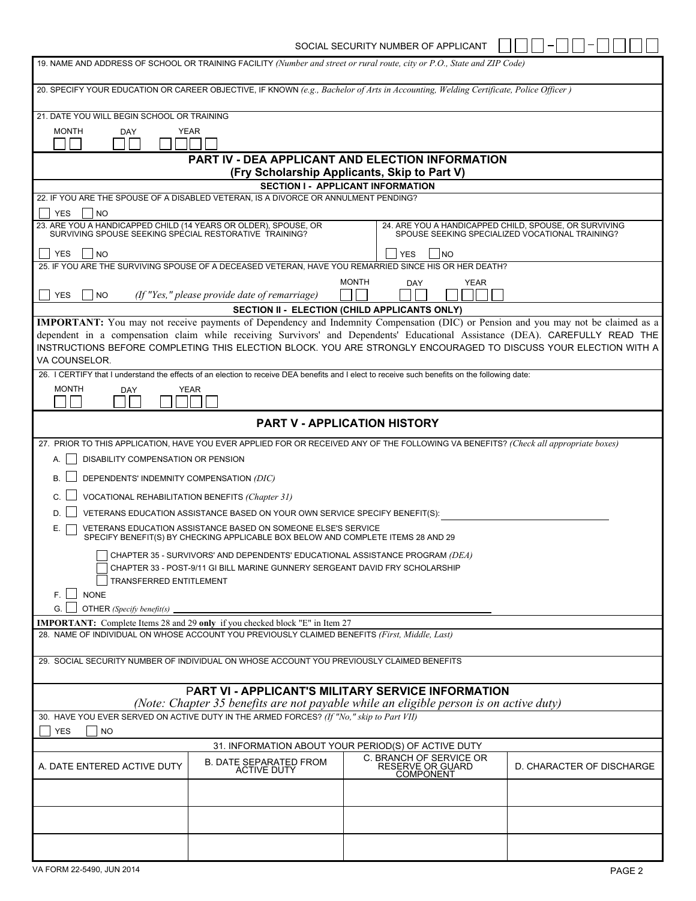SOCIAL SECURITY NUMBER OF APPLICANT  $\Box \Box \Box \Box \Box \Box \Box$ 

| 19. NAME AND ADDRESS OF SCHOOL OR TRAINING FACILITY (Number and street or rural route, city or P.O., State and ZIP Code)                            |                                                                                                                                                   |                                                                                                                                                |                                                                                                                                   |  |  |  |  |  |  |
|-----------------------------------------------------------------------------------------------------------------------------------------------------|---------------------------------------------------------------------------------------------------------------------------------------------------|------------------------------------------------------------------------------------------------------------------------------------------------|-----------------------------------------------------------------------------------------------------------------------------------|--|--|--|--|--|--|
| 20. SPECIFY YOUR EDUCATION OR CAREER OBJECTIVE, IF KNOWN (e.g., Bachelor of Arts in Accounting, Welding Certificate, Police Officer)                |                                                                                                                                                   |                                                                                                                                                |                                                                                                                                   |  |  |  |  |  |  |
| 21. DATE YOU WILL BEGIN SCHOOL OR TRAINING                                                                                                          |                                                                                                                                                   |                                                                                                                                                |                                                                                                                                   |  |  |  |  |  |  |
| <b>MONTH</b><br><b>YEAR</b><br><b>DAY</b>                                                                                                           |                                                                                                                                                   |                                                                                                                                                |                                                                                                                                   |  |  |  |  |  |  |
|                                                                                                                                                     | <b>PART IV - DEA APPLICANT AND ELECTION INFORMATION</b><br>(Fry Scholarship Applicants, Skip to Part V)                                           |                                                                                                                                                |                                                                                                                                   |  |  |  |  |  |  |
|                                                                                                                                                     |                                                                                                                                                   | <b>SECTION I - APPLICANT INFORMATION</b>                                                                                                       |                                                                                                                                   |  |  |  |  |  |  |
|                                                                                                                                                     | 22. IF YOU ARE THE SPOUSE OF A DISABLED VETERAN, IS A DIVORCE OR ANNULMENT PENDING?                                                               |                                                                                                                                                |                                                                                                                                   |  |  |  |  |  |  |
| <b>YES</b><br> NO                                                                                                                                   |                                                                                                                                                   |                                                                                                                                                |                                                                                                                                   |  |  |  |  |  |  |
| 23. ARE YOU A HANDICAPPED CHILD (14 YEARS OR OLDER), SPOUSE, OR<br>SURVIVING SPOUSE SEEKING SPECIAL RESTORATIVE TRAINING?                           |                                                                                                                                                   |                                                                                                                                                | 24. ARE YOU A HANDICAPPED CHILD, SPOUSE, OR SURVIVING<br>SPOUSE SEEKING SPECIALIZED VOCATIONAL TRAINING?                          |  |  |  |  |  |  |
| <b>YES</b><br><b>NO</b>                                                                                                                             |                                                                                                                                                   | <b>YES</b><br>INO                                                                                                                              |                                                                                                                                   |  |  |  |  |  |  |
|                                                                                                                                                     |                                                                                                                                                   | 25. IF YOU ARE THE SURVIVING SPOUSE OF A DECEASED VETERAN, HAVE YOU REMARRIED SINCE HIS OR HER DEATH?                                          |                                                                                                                                   |  |  |  |  |  |  |
| <b>YES</b><br><b>NO</b>                                                                                                                             | (If "Yes," please provide date of remarriage)                                                                                                     | <b>MONTH</b><br><b>YEAR</b><br>DAY                                                                                                             |                                                                                                                                   |  |  |  |  |  |  |
|                                                                                                                                                     |                                                                                                                                                   | SECTION II - ELECTION (CHILD APPLICANTS ONLY)                                                                                                  |                                                                                                                                   |  |  |  |  |  |  |
|                                                                                                                                                     |                                                                                                                                                   |                                                                                                                                                | IMPORTANT: You may not receive payments of Dependency and Indemnity Compensation (DIC) or Pension and you may not be claimed as a |  |  |  |  |  |  |
|                                                                                                                                                     |                                                                                                                                                   |                                                                                                                                                | dependent in a compensation claim while receiving Survivors' and Dependents' Educational Assistance (DEA). CAREFULLY READ THE     |  |  |  |  |  |  |
|                                                                                                                                                     |                                                                                                                                                   | INSTRUCTIONS BEFORE COMPLETING THIS ELECTION BLOCK. YOU ARE STRONGLY ENCOURAGED TO DISCUSS YOUR ELECTION WITH A                                |                                                                                                                                   |  |  |  |  |  |  |
| VA COUNSELOR.                                                                                                                                       |                                                                                                                                                   | 26. I CERTIFY that I understand the effects of an election to receive DEA benefits and I elect to receive such benefits on the following date: |                                                                                                                                   |  |  |  |  |  |  |
| <b>MONTH</b>                                                                                                                                        | <b>YEAR</b>                                                                                                                                       |                                                                                                                                                |                                                                                                                                   |  |  |  |  |  |  |
| <b>DAY</b>                                                                                                                                          |                                                                                                                                                   |                                                                                                                                                |                                                                                                                                   |  |  |  |  |  |  |
|                                                                                                                                                     |                                                                                                                                                   |                                                                                                                                                |                                                                                                                                   |  |  |  |  |  |  |
|                                                                                                                                                     |                                                                                                                                                   | PART V - APPLICATION HISTORY                                                                                                                   |                                                                                                                                   |  |  |  |  |  |  |
|                                                                                                                                                     |                                                                                                                                                   | 27. PRIOR TO THIS APPLICATION, HAVE YOU EVER APPLIED FOR OR RECEIVED ANY OF THE FOLLOWING VA BENEFITS? (Check all appropriate boxes)           |                                                                                                                                   |  |  |  |  |  |  |
| DISABILITY COMPENSATION OR PENSION<br>А.                                                                                                            |                                                                                                                                                   |                                                                                                                                                |                                                                                                                                   |  |  |  |  |  |  |
| DEPENDENTS' INDEMNITY COMPENSATION (DIC)<br>В.                                                                                                      |                                                                                                                                                   |                                                                                                                                                |                                                                                                                                   |  |  |  |  |  |  |
| VOCATIONAL REHABILITATION BENEFITS (Chapter 31)                                                                                                     |                                                                                                                                                   |                                                                                                                                                |                                                                                                                                   |  |  |  |  |  |  |
| D.                                                                                                                                                  | VETERANS EDUCATION ASSISTANCE BASED ON YOUR OWN SERVICE SPECIFY BENEFIT(S):                                                                       |                                                                                                                                                |                                                                                                                                   |  |  |  |  |  |  |
| Е.                                                                                                                                                  | VETERANS EDUCATION ASSISTANCE BASED ON SOMEONE ELSE'S SERVICE<br>SPECIFY BENEFIT(S) BY CHECKING APPLICABLE BOX BELOW AND COMPLETE ITEMS 28 AND 29 |                                                                                                                                                |                                                                                                                                   |  |  |  |  |  |  |
|                                                                                                                                                     | CHAPTER 35 - SURVIVORS' AND DEPENDENTS' EDUCATIONAL ASSISTANCE PROGRAM (DEA)                                                                      |                                                                                                                                                |                                                                                                                                   |  |  |  |  |  |  |
|                                                                                                                                                     | CHAPTER 33 - POST-9/11 GI BILL MARINE GUNNERY SERGEANT DAVID FRY SCHOLARSHIP                                                                      |                                                                                                                                                |                                                                                                                                   |  |  |  |  |  |  |
|                                                                                                                                                     | <b>TRANSFERRED ENTITLEMENT</b>                                                                                                                    |                                                                                                                                                |                                                                                                                                   |  |  |  |  |  |  |
| F. I I<br><b>NONE</b>                                                                                                                               |                                                                                                                                                   |                                                                                                                                                |                                                                                                                                   |  |  |  |  |  |  |
| G. I<br>OTHER (Specify benefit(s)                                                                                                                   |                                                                                                                                                   |                                                                                                                                                |                                                                                                                                   |  |  |  |  |  |  |
| <b>IMPORTANT:</b> Complete Items 28 and 29 only if you checked block "E" in Item 27                                                                 |                                                                                                                                                   |                                                                                                                                                |                                                                                                                                   |  |  |  |  |  |  |
| 28. NAME OF INDIVIDUAL ON WHOSE ACCOUNT YOU PREVIOUSLY CLAIMED BENEFITS (First, Middle, Last)                                                       |                                                                                                                                                   |                                                                                                                                                |                                                                                                                                   |  |  |  |  |  |  |
| 29. SOCIAL SECURITY NUMBER OF INDIVIDUAL ON WHOSE ACCOUNT YOU PREVIOUSLY CLAIMED BENEFITS                                                           |                                                                                                                                                   |                                                                                                                                                |                                                                                                                                   |  |  |  |  |  |  |
| <b>PART VI - APPLICANT'S MILITARY SERVICE INFORMATION</b><br>(Note: Chapter 35 benefits are not payable while an eligible person is on active duty) |                                                                                                                                                   |                                                                                                                                                |                                                                                                                                   |  |  |  |  |  |  |
| 30. HAVE YOU EVER SERVED ON ACTIVE DUTY IN THE ARMED FORCES? (If "No," skip to Part VII)                                                            |                                                                                                                                                   |                                                                                                                                                |                                                                                                                                   |  |  |  |  |  |  |
| <b>YES</b><br><b>NO</b>                                                                                                                             |                                                                                                                                                   |                                                                                                                                                |                                                                                                                                   |  |  |  |  |  |  |
| 31. INFORMATION ABOUT YOUR PERIOD(S) OF ACTIVE DUTY                                                                                                 |                                                                                                                                                   |                                                                                                                                                |                                                                                                                                   |  |  |  |  |  |  |
| A. DATE ENTERED ACTIVE DUTY                                                                                                                         | B. DATE SEPARATED FROM<br>ACTIVE DUTY                                                                                                             | C. BRANCH OF SERVICE OR<br>RESERVE OR GUARD<br>COMPONENT                                                                                       | D. CHARACTER OF DISCHARGE                                                                                                         |  |  |  |  |  |  |
|                                                                                                                                                     |                                                                                                                                                   |                                                                                                                                                |                                                                                                                                   |  |  |  |  |  |  |
|                                                                                                                                                     |                                                                                                                                                   |                                                                                                                                                |                                                                                                                                   |  |  |  |  |  |  |
|                                                                                                                                                     |                                                                                                                                                   |                                                                                                                                                |                                                                                                                                   |  |  |  |  |  |  |
|                                                                                                                                                     |                                                                                                                                                   |                                                                                                                                                |                                                                                                                                   |  |  |  |  |  |  |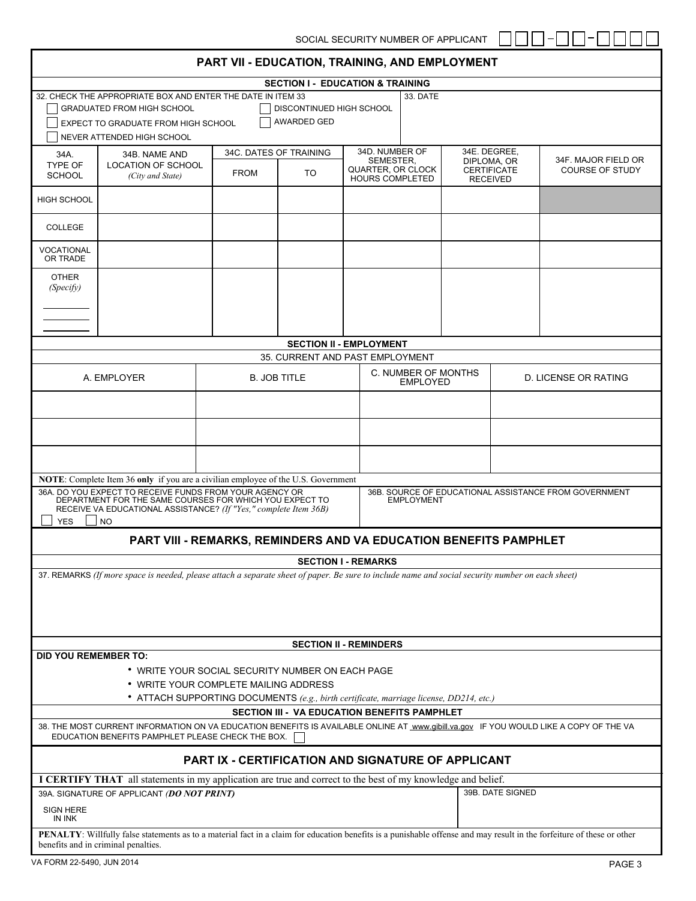| PART VII - EDUCATION, TRAINING, AND EMPLOYMENT                                                                                                                                                                     |                                                                                                                                                                                                                                                                                                                                                                               |                                                                   |                                             |                                |                                                          |                                                      |                             |                                               |  |
|--------------------------------------------------------------------------------------------------------------------------------------------------------------------------------------------------------------------|-------------------------------------------------------------------------------------------------------------------------------------------------------------------------------------------------------------------------------------------------------------------------------------------------------------------------------------------------------------------------------|-------------------------------------------------------------------|---------------------------------------------|--------------------------------|----------------------------------------------------------|------------------------------------------------------|-----------------------------|-----------------------------------------------|--|
|                                                                                                                                                                                                                    |                                                                                                                                                                                                                                                                                                                                                                               |                                                                   | <b>SECTION I - EDUCATION &amp; TRAINING</b> |                                |                                                          |                                                      |                             |                                               |  |
|                                                                                                                                                                                                                    | 32. CHECK THE APPROPRIATE BOX AND ENTER THE DATE IN ITEM 33<br><b>GRADUATED FROM HIGH SCHOOL</b><br>EXPECT TO GRADUATE FROM HIGH SCHOOL<br>NEVER ATTENDED HIGH SCHOOL                                                                                                                                                                                                         |                                                                   | DISCONTINUED HIGH SCHOOL<br>AWARDED GED     |                                | 33. DATE                                                 |                                                      |                             |                                               |  |
| 34A.                                                                                                                                                                                                               | 34B. NAME AND                                                                                                                                                                                                                                                                                                                                                                 |                                                                   | 34D. NUMBER OF<br>34C. DATES OF TRAINING    |                                |                                                          |                                                      | 34E. DEGREE,                |                                               |  |
| <b>TYPE OF</b><br><b>SCHOOL</b>                                                                                                                                                                                    | <b>LOCATION OF SCHOOL</b><br>(City and State)                                                                                                                                                                                                                                                                                                                                 | <b>FROM</b>                                                       | <b>TO</b>                                   |                                | SEMESTER,<br>QUARTER, OR CLOCK<br><b>HOURS COMPLETED</b> | DIPLOMA, OR<br><b>CERTIFICATE</b><br><b>RECEIVED</b> |                             | 34F. MAJOR FIELD OR<br><b>COURSE OF STUDY</b> |  |
| <b>HIGH SCHOOL</b>                                                                                                                                                                                                 |                                                                                                                                                                                                                                                                                                                                                                               |                                                                   |                                             |                                |                                                          |                                                      |                             |                                               |  |
| COLLEGE                                                                                                                                                                                                            |                                                                                                                                                                                                                                                                                                                                                                               |                                                                   |                                             |                                |                                                          |                                                      |                             |                                               |  |
| VOCATIONAL<br>OR TRADE<br><b>OTHER</b>                                                                                                                                                                             |                                                                                                                                                                                                                                                                                                                                                                               |                                                                   |                                             |                                |                                                          |                                                      |                             |                                               |  |
| (Specify)                                                                                                                                                                                                          |                                                                                                                                                                                                                                                                                                                                                                               |                                                                   |                                             |                                |                                                          |                                                      |                             |                                               |  |
|                                                                                                                                                                                                                    |                                                                                                                                                                                                                                                                                                                                                                               |                                                                   |                                             |                                |                                                          |                                                      |                             |                                               |  |
|                                                                                                                                                                                                                    |                                                                                                                                                                                                                                                                                                                                                                               |                                                                   |                                             | <b>SECTION II - EMPLOYMENT</b> |                                                          |                                                      |                             |                                               |  |
|                                                                                                                                                                                                                    |                                                                                                                                                                                                                                                                                                                                                                               |                                                                   | 35. CURRENT AND PAST EMPLOYMENT             |                                |                                                          |                                                      |                             |                                               |  |
|                                                                                                                                                                                                                    | A. EMPLOYER                                                                                                                                                                                                                                                                                                                                                                   |                                                                   | <b>B. JOB TITLE</b>                         |                                |                                                          | C. NUMBER OF MONTHS<br><b>EMPLOYED</b>               | <b>D. LICENSE OR RATING</b> |                                               |  |
|                                                                                                                                                                                                                    |                                                                                                                                                                                                                                                                                                                                                                               |                                                                   |                                             |                                |                                                          |                                                      |                             |                                               |  |
|                                                                                                                                                                                                                    |                                                                                                                                                                                                                                                                                                                                                                               |                                                                   |                                             |                                |                                                          |                                                      |                             |                                               |  |
|                                                                                                                                                                                                                    |                                                                                                                                                                                                                                                                                                                                                                               |                                                                   |                                             |                                |                                                          |                                                      |                             |                                               |  |
| <b>YES</b>                                                                                                                                                                                                         | <b>NOTE:</b> Complete Item 36 only if you are a civilian employee of the U.S. Government<br>36A. DO YOU EXPECT TO RECEIVE FUNDS FROM YOUR AGENCY OR<br>36B. SOURCE OF EDUCATIONAL ASSISTANCE FROM GOVERNMENT<br>DEPARTMENT FOR THE SAME COURSES FOR WHICH YOU EXPECT TO<br><b>EMPLOYMENT</b><br>RECEIVE VA EDUCATIONAL ASSISTANCE? (If "Yes," complete Item 36B)<br><b>NO</b> |                                                                   |                                             |                                |                                                          |                                                      |                             |                                               |  |
|                                                                                                                                                                                                                    |                                                                                                                                                                                                                                                                                                                                                                               | PART VIII - REMARKS, REMINDERS AND VA EDUCATION BENEFITS PAMPHLET |                                             |                                |                                                          |                                                      |                             |                                               |  |
|                                                                                                                                                                                                                    |                                                                                                                                                                                                                                                                                                                                                                               |                                                                   |                                             | <b>SECTION I - REMARKS</b>     |                                                          |                                                      |                             |                                               |  |
| 37. REMARKS (If more space is needed, please attach a separate sheet of paper. Be sure to include name and social security number on each sheet)                                                                   |                                                                                                                                                                                                                                                                                                                                                                               |                                                                   |                                             |                                |                                                          |                                                      |                             |                                               |  |
|                                                                                                                                                                                                                    | <b>SECTION II - REMINDERS</b>                                                                                                                                                                                                                                                                                                                                                 |                                                                   |                                             |                                |                                                          |                                                      |                             |                                               |  |
| <b>DID YOU REMEMBER TO:</b><br>* WRITE YOUR SOCIAL SECURITY NUMBER ON EACH PAGE<br>• WRITE YOUR COMPLETE MAILING ADDRESS<br>• ATTACH SUPPORTING DOCUMENTS (e.g., birth certificate, marriage license, DD214, etc.) |                                                                                                                                                                                                                                                                                                                                                                               |                                                                   |                                             |                                |                                                          |                                                      |                             |                                               |  |
| SECTION III - VA EDUCATION BENEFITS PAMPHLET                                                                                                                                                                       |                                                                                                                                                                                                                                                                                                                                                                               |                                                                   |                                             |                                |                                                          |                                                      |                             |                                               |  |
| 38. THE MOST CURRENT INFORMATION ON VA EDUCATION BENEFITS IS AVAILABLE ONLINE AT www.gibill.va.gov IF YOU WOULD LIKE A COPY OF THE VA<br>EDUCATION BENEFITS PAMPHLET PLEASE CHECK THE BOX.                         |                                                                                                                                                                                                                                                                                                                                                                               |                                                                   |                                             |                                |                                                          |                                                      |                             |                                               |  |
|                                                                                                                                                                                                                    | <b>PART IX - CERTIFICATION AND SIGNATURE OF APPLICANT</b>                                                                                                                                                                                                                                                                                                                     |                                                                   |                                             |                                |                                                          |                                                      |                             |                                               |  |
| I CERTIFY THAT all statements in my application are true and correct to the best of my knowledge and belief.                                                                                                       |                                                                                                                                                                                                                                                                                                                                                                               |                                                                   |                                             |                                |                                                          |                                                      |                             |                                               |  |
| 39A. SIGNATURE OF APPLICANT (DO NOT PRINT)                                                                                                                                                                         |                                                                                                                                                                                                                                                                                                                                                                               |                                                                   |                                             |                                |                                                          |                                                      | 39B. DATE SIGNED            |                                               |  |
| SIGN HERE<br><b>IN INK</b>                                                                                                                                                                                         |                                                                                                                                                                                                                                                                                                                                                                               |                                                                   |                                             |                                |                                                          |                                                      |                             |                                               |  |
|                                                                                                                                                                                                                    | PENALTY: Willfully false statements as to a material fact in a claim for education benefits is a punishable offense and may result in the forfeiture of these or other<br>benefits and in criminal penalties.                                                                                                                                                                 |                                                                   |                                             |                                |                                                          |                                                      |                             |                                               |  |

 $\overline{\phantom{a}}$ 

—<br>—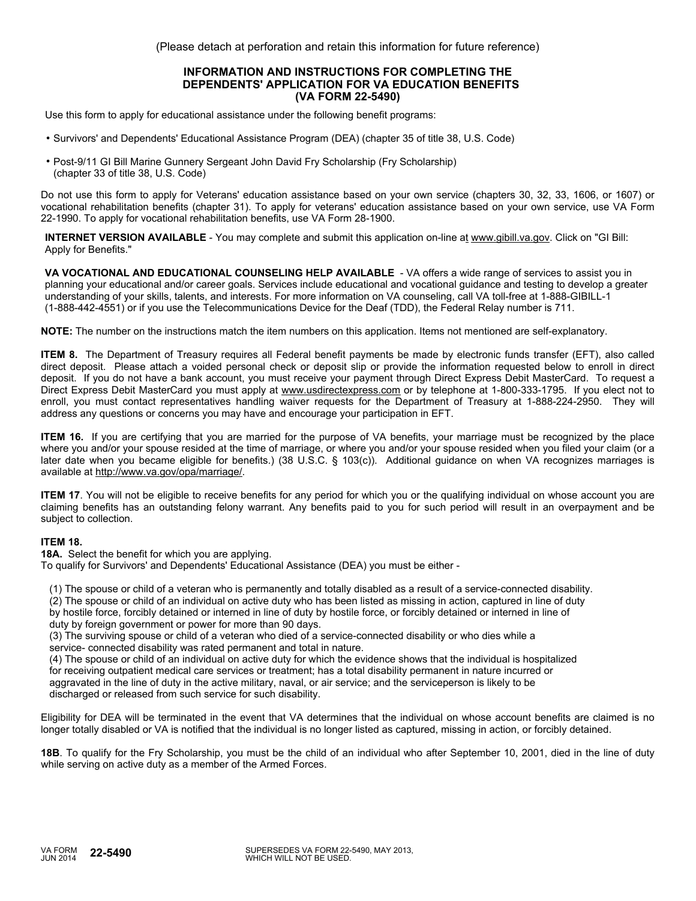(Please detach at perforation and retain this information for future reference)

#### **INFORMATION AND INSTRUCTIONS FOR COMPLETING THE DEPENDENTS' APPLICATION FOR VA EDUCATION BENEFITS (VA FORM 22-5490)**

Use this form to apply for educational assistance under the following benefit programs:

- Survivors' and Dependents' Educational Assistance Program (DEA) (chapter 35 of title 38, U.S. Code)
- Post-9/11 GI Bill Marine Gunnery Sergeant John David Fry Scholarship (Fry Scholarship) (chapter 33 of title 38, U.S. Code)

Do not use this form to apply for Veterans' education assistance based on your own service (chapters 30, 32, 33, 1606, or 1607) or vocational rehabilitation benefits (chapter 31). To apply for veterans' education assistance based on your own service, use VA Form 22-1990. To apply for vocational rehabilitation benefits, use VA Form 28-1900.

**INTERNET VERSION AVAILABLE** - You may complete and submit this application on-line at www.gibill.va.gov. Click on "GI Bill: Apply for Benefits."

**VA VOCATIONAL AND EDUCATIONAL COUNSELING HELP AVAILABLE** - VA offers a wide range of services to assist you in planning your educational and/or career goals. Services include educational and vocational guidance and testing to develop a greater understanding of your skills, talents, and interests. For more information on VA counseling, call VA toll-free at 1-888-GIBILL-1 (1-888-442-4551) or if you use the Telecommunications Device for the Deaf (TDD), the Federal Relay number is 711.

**NOTE:** The number on the instructions match the item numbers on this application. Items not mentioned are self-explanatory.

**ITEM 8.** The Department of Treasury requires all Federal benefit payments be made by electronic funds transfer (EFT), also called direct deposit. Please attach a voided personal check or deposit slip or provide the information requested below to enroll in direct deposit. If you do not have a bank account, you must receive your payment through Direct Express Debit MasterCard. To request a Direct Express Debit MasterCard you must apply at www.usdirectexpress.com or by telephone at 1-800-333-1795. If you elect not to enroll, you must contact representatives handling waiver requests for the Department of Treasury at 1-888-224-2950. They will address any questions or concerns you may have and encourage your participation in EFT.

**ITEM 16.** If you are certifying that you are married for the purpose of VA benefits, your marriage must be recognized by the place where you and/or your spouse resided at the time of marriage, or where you and/or your spouse resided when you filed your claim (or a later date when you became eligible for benefits.) (38 U.S.C. § 103(c)). Additional guidance on when VA recognizes marriages is available at http://www.va.gov/opa/marriage/.

**ITEM 17**. You will not be eligible to receive benefits for any period for which you or the qualifying individual on whose account you are claiming benefits has an outstanding felony warrant. Any benefits paid to you for such period will result in an overpayment and be subject to collection.

## **ITEM 18.**

**18A.** Select the benefit for which you are applying.

To qualify for Survivors' and Dependents' Educational Assistance (DEA) you must be either -

(1) The spouse or child of a veteran who is permanently and totally disabled as a result of a service-connected disability.

 (2) The spouse or child of an individual on active duty who has been listed as missing in action, captured in line of duty by hostile force, forcibly detained or interned in line of duty by hostile force, or forcibly detained or interned in line of

duty by foreign government or power for more than 90 days.

 (3) The surviving spouse or child of a veteran who died of a service-connected disability or who dies while a service- connected disability was rated permanent and total in nature.

 (4) The spouse or child of an individual on active duty for which the evidence shows that the individual is hospitalized for receiving outpatient medical care services or treatment; has a total disability permanent in nature incurred or aggravated in the line of duty in the active military, naval, or air service; and the serviceperson is likely to be discharged or released from such service for such disability.

Eligibility for DEA will be terminated in the event that VA determines that the individual on whose account benefits are claimed is no longer totally disabled or VA is notified that the individual is no longer listed as captured, missing in action, or forcibly detained.

**18B**. To qualify for the Fry Scholarship, you must be the child of an individual who after September 10, 2001, died in the line of duty while serving on active duty as a member of the Armed Forces.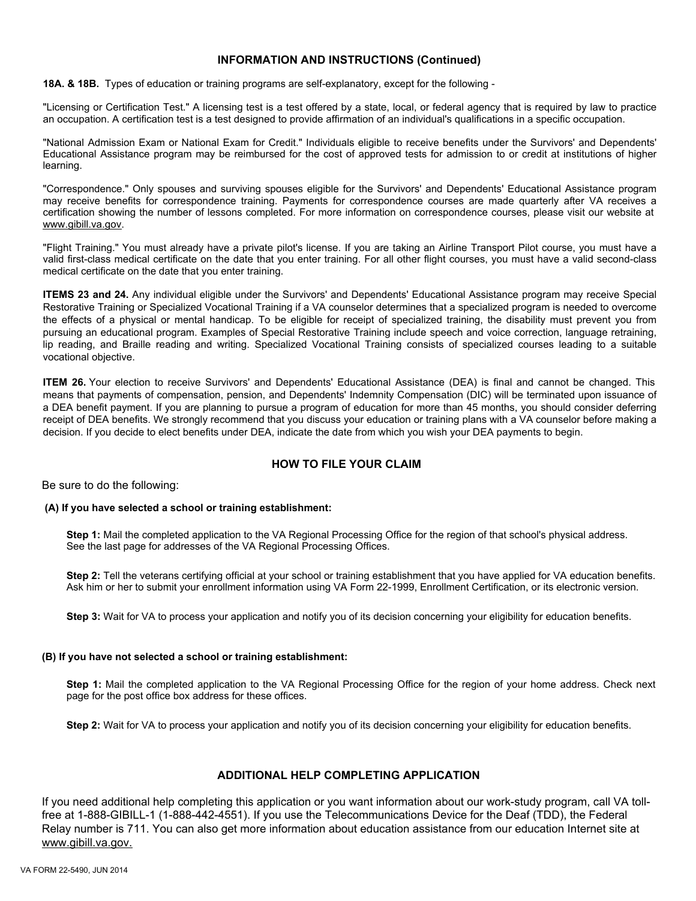## **INFORMATION AND INSTRUCTIONS (Continued)**

**18A. & 18B.** Types of education or training programs are self-explanatory, except for the following -

"Licensing or Certification Test." A licensing test is a test offered by a state, local, or federal agency that is required by law to practice an occupation. A certification test is a test designed to provide affirmation of an individual's qualifications in a specific occupation.

"National Admission Exam or National Exam for Credit." Individuals eligible to receive benefits under the Survivors' and Dependents' Educational Assistance program may be reimbursed for the cost of approved tests for admission to or credit at institutions of higher learning.

"Correspondence." Only spouses and surviving spouses eligible for the Survivors' and Dependents' Educational Assistance program may receive benefits for correspondence training. Payments for correspondence courses are made quarterly after VA receives a certification showing the number of lessons completed. For more information on correspondence courses, please visit our website at www.gibill.va.gov.

"Flight Training." You must already have a private pilot's license. If you are taking an Airline Transport Pilot course, you must have a valid first-class medical certificate on the date that you enter training. For all other flight courses, you must have a valid second-class medical certificate on the date that you enter training.

**ITEMS 23 and 24.** Any individual eligible under the Survivors' and Dependents' Educational Assistance program may receive Special Restorative Training or Specialized Vocational Training if a VA counselor determines that a specialized program is needed to overcome the effects of a physical or mental handicap. To be eligible for receipt of specialized training, the disability must prevent you from pursuing an educational program. Examples of Special Restorative Training include speech and voice correction, language retraining, lip reading, and Braille reading and writing. Specialized Vocational Training consists of specialized courses leading to a suitable vocational objective.

**ITEM 26.** Your election to receive Survivors' and Dependents' Educational Assistance (DEA) is final and cannot be changed. This means that payments of compensation, pension, and Dependents' Indemnity Compensation (DIC) will be terminated upon issuance of a DEA benefit payment. If you are planning to pursue a program of education for more than 45 months, you should consider deferring receipt of DEA benefits. We strongly recommend that you discuss your education or training plans with a VA counselor before making a decision. If you decide to elect benefits under DEA, indicate the date from which you wish your DEA payments to begin.

## **HOW TO FILE YOUR CLAIM**

Be sure to do the following:

#### **(A) If you have selected a school or training establishment:**

**Step 1:** Mail the completed application to the VA Regional Processing Office for the region of that school's physical address. See the last page for addresses of the VA Regional Processing Offices.

**Step 2:** Tell the veterans certifying official at your school or training establishment that you have applied for VA education benefits. Ask him or her to submit your enrollment information using VA Form 22-1999, Enrollment Certification, or its electronic version.

**Step 3:** Wait for VA to process your application and notify you of its decision concerning your eligibility for education benefits.

#### **(B) If you have not selected a school or training establishment:**

**Step 1:** Mail the completed application to the VA Regional Processing Office for the region of your home address. Check next page for the post office box address for these offices.

**Step 2:** Wait for VA to process your application and notify you of its decision concerning your eligibility for education benefits.

# **ADDITIONAL HELP COMPLETING APPLICATION**

If you need additional help completing this application or you want information about our work-study program, call VA tollfree at 1-888-GIBILL-1 (1-888-442-4551). If you use the Telecommunications Device for the Deaf (TDD), the Federal Relay number is 711. You can also get more information about education assistance from our education Internet site at www.gibill.va.gov.